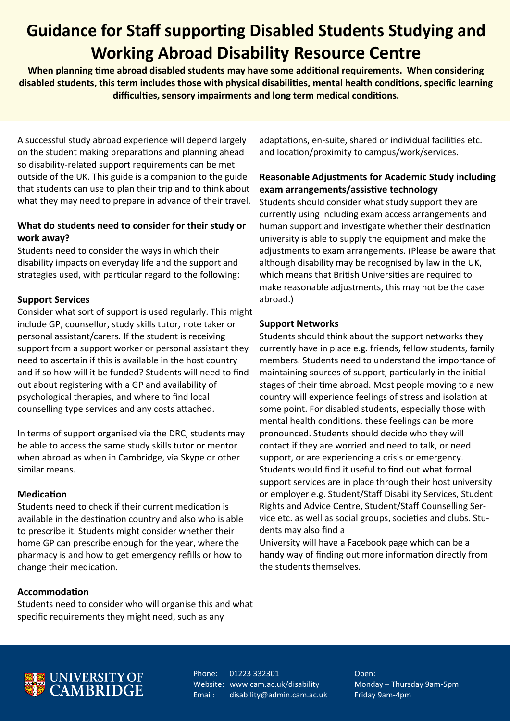## **Guidance for Staff supporting Disabled Students Studying and Working Abroad Disability Resource Centre**

**When planning time abroad disabled students may have some additional requirements. When considering disabled students, this term includes those with physical disabilities, mental health conditions, specific learning difficulties, sensory impairments and long term medical conditions.**

A successful study abroad experience will depend largely on the student making preparations and planning ahead so disability-related support requirements can be met outside of the UK. This guide is a companion to the guide that students can use to plan their trip and to think about what they may need to prepare in advance of their travel.

### **What do students need to consider for their study or work away?**

Students need to consider the ways in which their disability impacts on everyday life and the support and strategies used, with particular regard to the following:

## **Support Services**

Consider what sort of support is used regularly. This might include GP, counsellor, study skills tutor, note taker or personal assistant/carers. If the student is receiving support from a support worker or personal assistant they need to ascertain if this is available in the host country and if so how will it be funded? Students will need to find out about registering with a GP and availability of psychological therapies, and where to find local counselling type services and any costs attached.

In terms of support organised via the DRC, students may be able to access the same study skills tutor or mentor when abroad as when in Cambridge, via Skype or other similar means.

### **Medication**

Students need to check if their current medication is available in the destination country and also who is able to prescribe it. Students might consider whether their home GP can prescribe enough for the year, where the pharmacy is and how to get emergency refills or how to change their medication.

### **Accommodation**

Students need to consider who will organise this and what specific requirements they might need, such as any

adaptations, en-suite, shared or individual facilities etc. and location/proximity to campus/work/services.

## **Reasonable Adjustments for Academic Study including exam arrangements/assistive technology**

Students should consider what study support they are currently using including exam access arrangements and human support and investigate whether their destination university is able to supply the equipment and make the adjustments to exam arrangements. (Please be aware that although disability may be recognised by law in the UK, which means that British Universities are required to make reasonable adjustments, this may not be the case abroad.)

### **Support Networks**

Students should think about the support networks they currently have in place e.g. friends, fellow students, family members. Students need to understand the importance of maintaining sources of support, particularly in the initial stages of their time abroad. Most people moving to a new country will experience feelings of stress and isolation at some point. For disabled students, especially those with mental health conditions, these feelings can be more pronounced. Students should decide who they will contact if they are worried and need to talk, or need support, or are experiencing a crisis or emergency. Students would find it useful to find out what formal support services are in place through their host university or employer e.g. Student/Staff Disability Services, Student Rights and Advice Centre, Student/Staff Counselling Service etc. as well as social groups, societies and clubs. Students may also find a

University will have a Facebook page which can be a handy way of finding out more information directly from the students themselves.



Phone: 01223 332301 Website: www.cam.ac.uk/disability Email: disability@admin.cam.ac.uk

Open: Monday – Thursday 9am-5pm Friday 9am-4pm